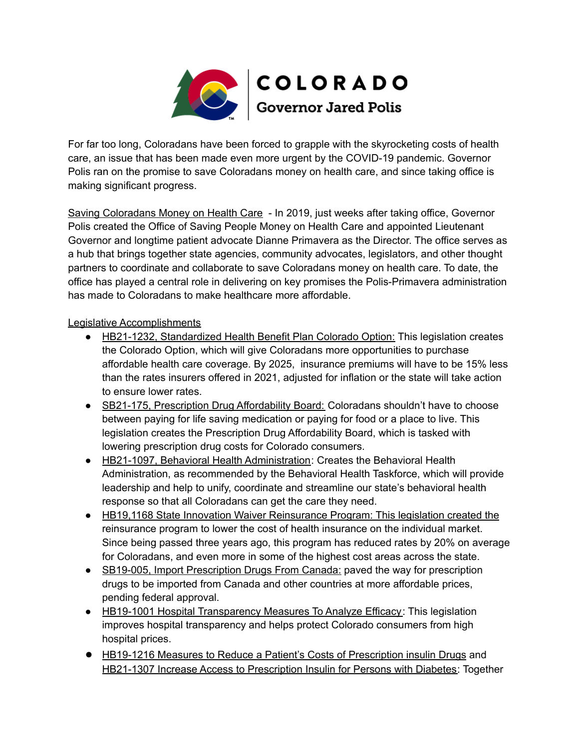

For far too long, Coloradans have been forced to grapple with the skyrocketing costs of health care, an issue that has been made even more urgent by the COVID-19 pandemic. Governor Polis ran on the promise to save Coloradans money on health care, and since taking office is making significant progress.

Saving Coloradans Money on Health Care - In 2019, just weeks after taking office, Governor Polis created the Office of Saving People Money on Health Care and appointed Lieutenant Governor and longtime patient advocate Dianne Primavera as the Director. The office serves as a hub that brings together state agencies, community advocates, legislators, and other thought partners to coordinate and collaborate to save Coloradans money on health care. To date, the office has played a central role in delivering on key promises the Polis-Primavera administration has made to Coloradans to make healthcare more affordable.

## Legislative Accomplishments

- HB21-1232, Standardized Health Benefit Plan Colorado Option: This legislation creates the Colorado Option, which will give Coloradans more opportunities to purchase affordable health care coverage. By 2025, insurance premiums will have to be 15% less than the rates insurers offered in 2021, adjusted for inflation or the state will take action to ensure lower rates.
- SB21-175, Prescription Drug Affordability Board: Coloradans shouldn't have to choose between paying for life saving medication or paying for food or a place to live. This legislation creates the Prescription Drug Affordability Board, which is tasked with lowering prescription drug costs for Colorado consumers.
- HB21-1097, Behavioral Health Administration: Creates the Behavioral Health Administration, as recommended by the Behavioral Health Taskforce, which will provide leadership and help to unify, coordinate and streamline our state's behavioral health response so that all Coloradans can get the care they need.
- HB19,1168 State Innovation Waiver Reinsurance Program: This legislation created the reinsurance program to lower the cost of health insurance on the individual market. Since being passed three years ago, this program has reduced rates by 20% on average for Coloradans, and even more in some of the highest cost areas across the state.
- SB19-005, Import Prescription Drugs From Canada: paved the way for prescription drugs to be imported from Canada and other countries at more affordable prices, pending federal approval.
- HB19-1001 Hospital Transparency Measures To Analyze Efficacy: This legislation improves hospital transparency and helps protect Colorado consumers from high hospital prices.
- HB19-1216 Measures to Reduce a Patient's Costs of Prescription insulin Drugs and HB21-1307 Increase Access to Prescription Insulin for Persons with Diabetes: Together